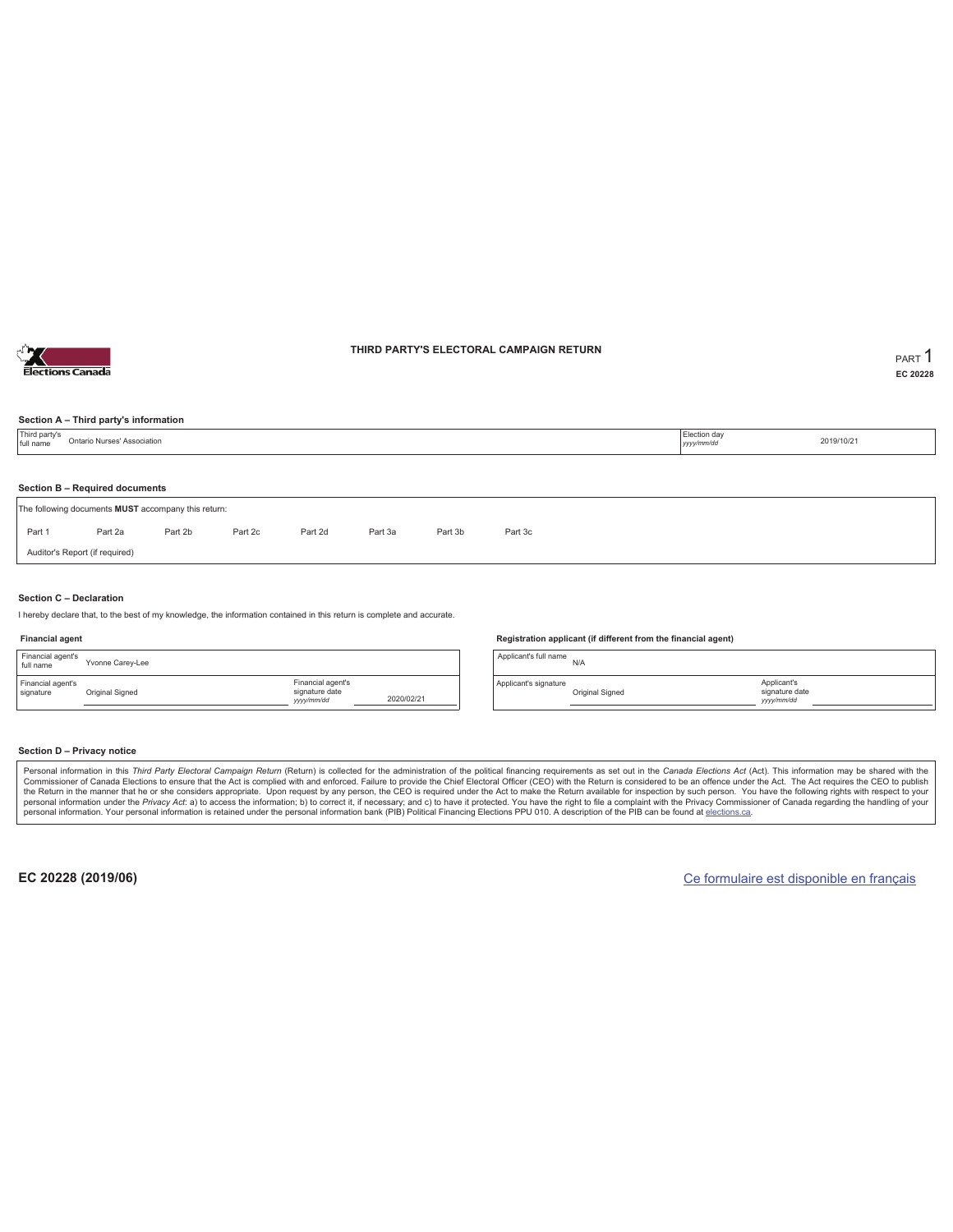

### **THIRD PARTY'S ELECTORAL CAMPAIGN RETURN PART** 1

**EC 20228**

### **Section A – Third party's information**

| Third party's<br>full name | Ontario Nurses' Association                         |         |         |         |         |         |         |  | Election day<br>yyyy/mm/dd | 2019/10/21 |  |  |  |
|----------------------------|-----------------------------------------------------|---------|---------|---------|---------|---------|---------|--|----------------------------|------------|--|--|--|
|                            | Section B - Required documents                      |         |         |         |         |         |         |  |                            |            |  |  |  |
|                            | The following documents MUST accompany this return: |         |         |         |         |         |         |  |                            |            |  |  |  |
| Part 1                     | Part 2a                                             | Part 2b | Part 2c | Part 2d | Part 3a | Part 3b | Part 3c |  |                            |            |  |  |  |
|                            | Auditor's Report (if required)                      |         |         |         |         |         |         |  |                            |            |  |  |  |
|                            |                                                     |         |         |         |         |         |         |  |                            |            |  |  |  |

### **Section C – Declaration**

I hereby declare that, to the best of my knowledge, the information contained in this return is complete and accurate.

#### **Financial agent**

| Financial agent's<br>full name | Yvonne Carey-Lee |                                                  |            |
|--------------------------------|------------------|--------------------------------------------------|------------|
| Financial agent's<br>signature | Original Signed  | Financial agent's<br>signature date<br>yyy/mm/dd | 2020/02/21 |

#### **Registration applicant (if different from the financial agent)**

Applicant's full name N/A

Applicant's signature Original Signed

### **Section D – Privacy notice**

Personal information in this Third Party Electoral Campaign Return (Return) is collected for the administration of the political financing requirements as set out in the Canada Elections Act (Act). This information may be Commissioner of Canada Elections to ensure that the Act is complied with and enforced. Failure to provide the Chief Electoral Officer (CEO) with the Return is considered to be an offence under the Act. The Act requires the personal information. Your personal information is retained under the personal information bank (PIB) Political Financing Elections PPU 010. A description of the PIB can be found at elections.ca.

**EC 20228 (2019/06)** Ce formulaire est disponible en français

Applicant's signature date *yyyy/mm/dd*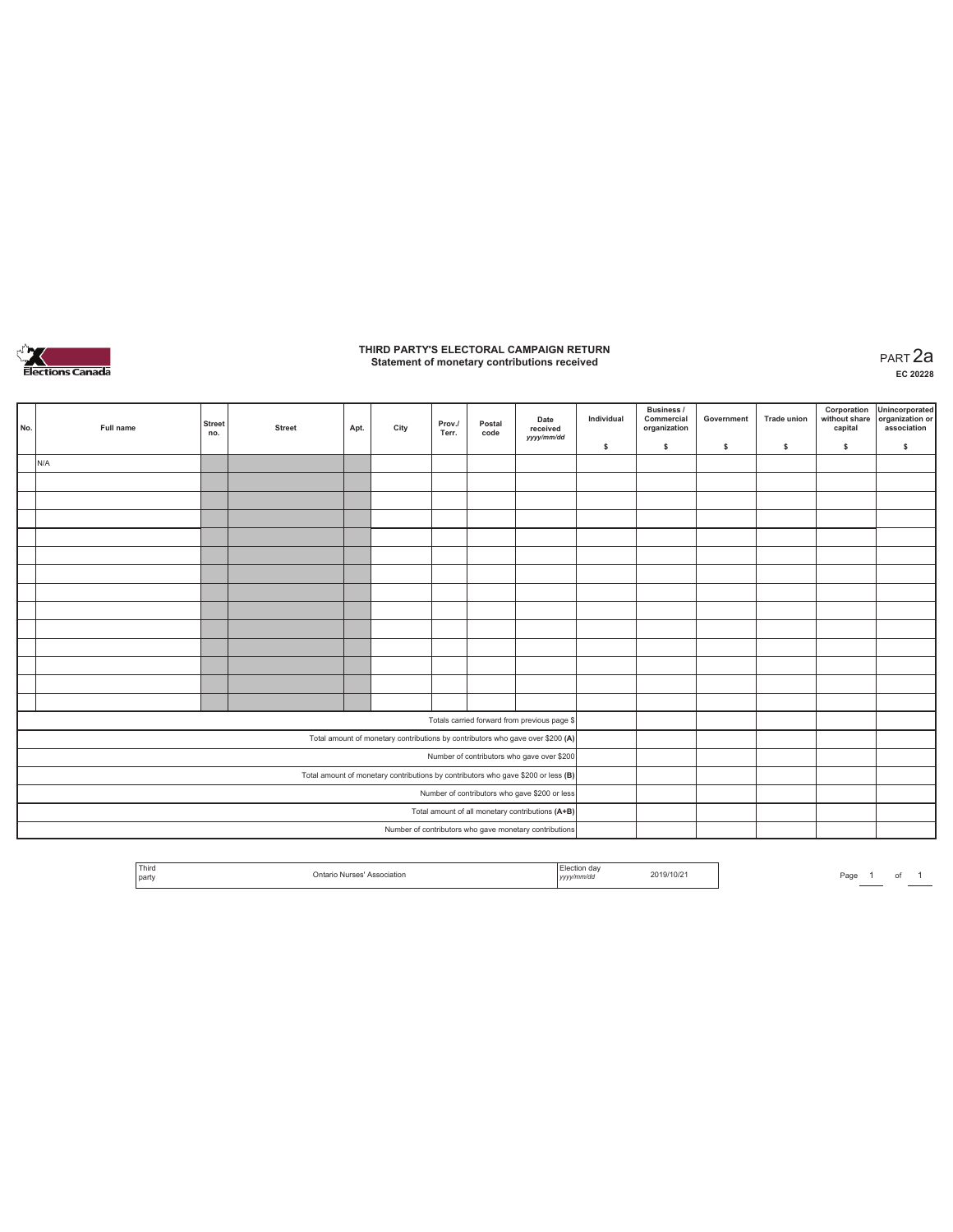

# **THIRD PARTY'S ELECTORAL CAMPAIGN RETURN Statement of monetary contributions received** PART 2a

| No.                                                                               | Full name | <b>Street</b><br>no. | <b>Street</b> | Apt. | City | Prov./<br>Terr. | Postal<br>code | Date<br>received<br>yyyy/mm/dd                         | Individual | Business /<br>Commercial<br>organization | Government | <b>Trade union</b> | Corporation<br>without share<br>capital | Unincorporated<br>organization or<br>association |
|-----------------------------------------------------------------------------------|-----------|----------------------|---------------|------|------|-----------------|----------------|--------------------------------------------------------|------------|------------------------------------------|------------|--------------------|-----------------------------------------|--------------------------------------------------|
|                                                                                   |           |                      |               |      |      |                 |                |                                                        | \$         | \$                                       | \$         | s                  | \$                                      | \$                                               |
|                                                                                   | N/A       |                      |               |      |      |                 |                |                                                        |            |                                          |            |                    |                                         |                                                  |
|                                                                                   |           |                      |               |      |      |                 |                |                                                        |            |                                          |            |                    |                                         |                                                  |
|                                                                                   |           |                      |               |      |      |                 |                |                                                        |            |                                          |            |                    |                                         |                                                  |
|                                                                                   |           |                      |               |      |      |                 |                |                                                        |            |                                          |            |                    |                                         |                                                  |
|                                                                                   |           |                      |               |      |      |                 |                |                                                        |            |                                          |            |                    |                                         |                                                  |
|                                                                                   |           |                      |               |      |      |                 |                |                                                        |            |                                          |            |                    |                                         |                                                  |
|                                                                                   |           |                      |               |      |      |                 |                |                                                        |            |                                          |            |                    |                                         |                                                  |
|                                                                                   |           |                      |               |      |      |                 |                |                                                        |            |                                          |            |                    |                                         |                                                  |
|                                                                                   |           |                      |               |      |      |                 |                |                                                        |            |                                          |            |                    |                                         |                                                  |
|                                                                                   |           |                      |               |      |      |                 |                |                                                        |            |                                          |            |                    |                                         |                                                  |
|                                                                                   |           |                      |               |      |      |                 |                |                                                        |            |                                          |            |                    |                                         |                                                  |
|                                                                                   |           |                      |               |      |      |                 |                |                                                        |            |                                          |            |                    |                                         |                                                  |
|                                                                                   |           |                      |               |      |      |                 |                |                                                        |            |                                          |            |                    |                                         |                                                  |
|                                                                                   |           |                      |               |      |      |                 |                |                                                        |            |                                          |            |                    |                                         |                                                  |
|                                                                                   |           |                      |               |      |      |                 |                | Totals carried forward from previous page \$           |            |                                          |            |                    |                                         |                                                  |
| Total amount of monetary contributions by contributors who gave over \$200 (A)    |           |                      |               |      |      |                 |                |                                                        |            |                                          |            |                    |                                         |                                                  |
| Number of contributors who gave over \$200                                        |           |                      |               |      |      |                 |                |                                                        |            |                                          |            |                    |                                         |                                                  |
| Total amount of monetary contributions by contributors who gave \$200 or less (B) |           |                      |               |      |      |                 |                |                                                        |            |                                          |            |                    |                                         |                                                  |
| Number of contributors who gave \$200 or less                                     |           |                      |               |      |      |                 |                |                                                        |            |                                          |            |                    |                                         |                                                  |
| Total amount of all monetary contributions (A+B)                                  |           |                      |               |      |      |                 |                |                                                        |            |                                          |            |                    |                                         |                                                  |
|                                                                                   |           |                      |               |      |      |                 |                | Number of contributors who gave monetary contributions |            |                                          |            |                    |                                         |                                                  |

| Third<br>party | танол | Election da<br><i>yyyy.</i> | 2019/10/2 |  | Page |  |  |  |
|----------------|-------|-----------------------------|-----------|--|------|--|--|--|
|----------------|-------|-----------------------------|-----------|--|------|--|--|--|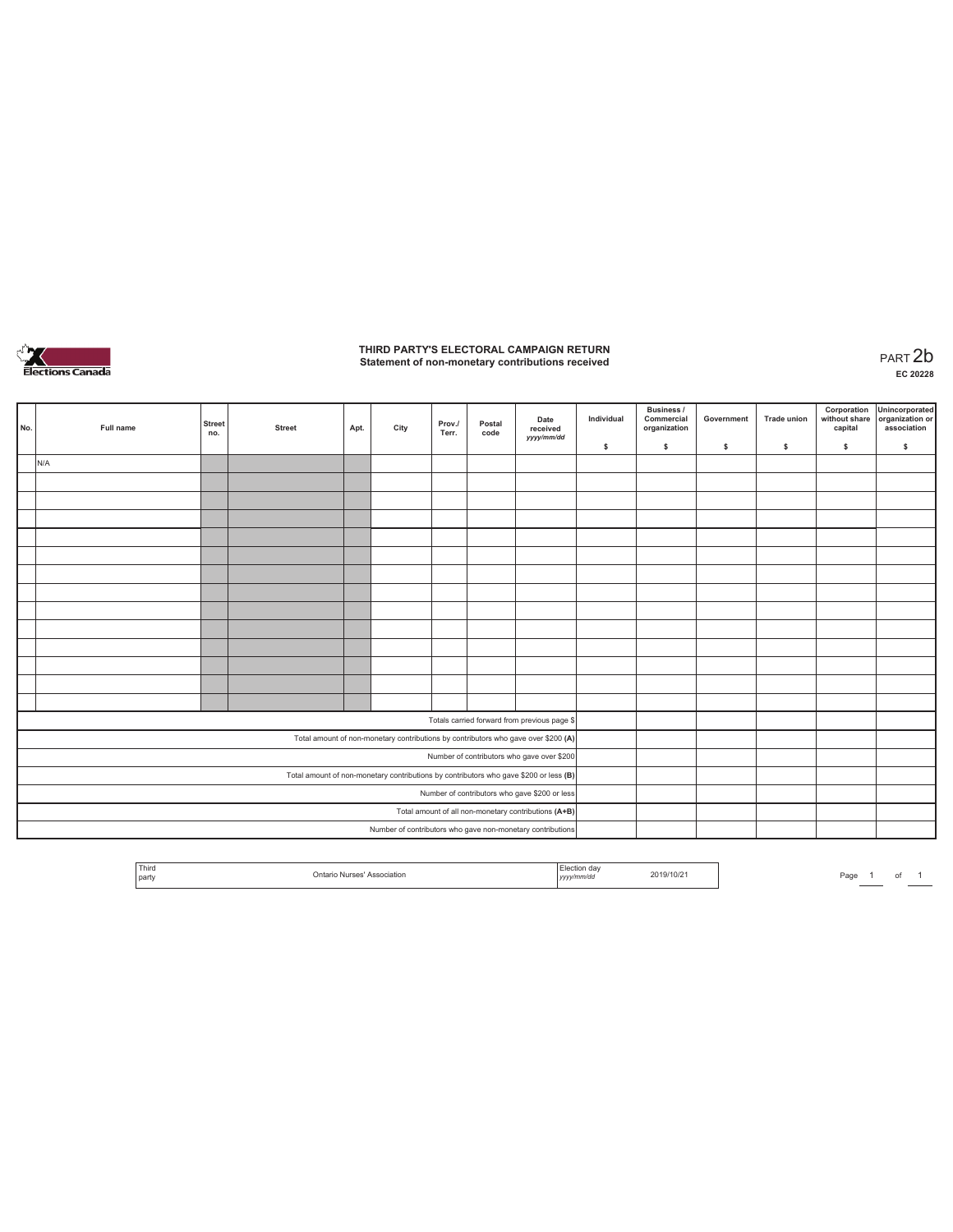

# **THIRD PARTY'S ELECTORAL CAMPAIGN RETURN Statement of non-monetary contributions received** PART 2b

| No.                                                                                                                              | Full name | <b>Street</b><br>no.                                 | <b>Street</b> | Apt. | City | Prov./<br>Terr. | Postal<br>code | Date<br>received<br>yyyy/mm/dd                             | Individual<br>\$ | <b>Business /</b><br>Commercial<br>organization<br>s. | Government<br>\$ | <b>Trade union</b><br>s | Corporation<br>\$ | Unincorporated<br>without share organization or<br>capital association<br>\$ |
|----------------------------------------------------------------------------------------------------------------------------------|-----------|------------------------------------------------------|---------------|------|------|-----------------|----------------|------------------------------------------------------------|------------------|-------------------------------------------------------|------------------|-------------------------|-------------------|------------------------------------------------------------------------------|
|                                                                                                                                  | N/A       |                                                      |               |      |      |                 |                |                                                            |                  |                                                       |                  |                         |                   |                                                                              |
|                                                                                                                                  |           |                                                      |               |      |      |                 |                |                                                            |                  |                                                       |                  |                         |                   |                                                                              |
|                                                                                                                                  |           |                                                      |               |      |      |                 |                |                                                            |                  |                                                       |                  |                         |                   |                                                                              |
|                                                                                                                                  |           |                                                      |               |      |      |                 |                |                                                            |                  |                                                       |                  |                         |                   |                                                                              |
|                                                                                                                                  |           |                                                      |               |      |      |                 |                |                                                            |                  |                                                       |                  |                         |                   |                                                                              |
|                                                                                                                                  |           |                                                      |               |      |      |                 |                |                                                            |                  |                                                       |                  |                         |                   |                                                                              |
|                                                                                                                                  |           |                                                      |               |      |      |                 |                |                                                            |                  |                                                       |                  |                         |                   |                                                                              |
|                                                                                                                                  |           |                                                      |               |      |      |                 |                |                                                            |                  |                                                       |                  |                         |                   |                                                                              |
|                                                                                                                                  |           |                                                      |               |      |      |                 |                |                                                            |                  |                                                       |                  |                         |                   |                                                                              |
|                                                                                                                                  |           |                                                      |               |      |      |                 |                |                                                            |                  |                                                       |                  |                         |                   |                                                                              |
|                                                                                                                                  |           |                                                      |               |      |      |                 |                |                                                            |                  |                                                       |                  |                         |                   |                                                                              |
|                                                                                                                                  |           |                                                      |               |      |      |                 |                |                                                            |                  |                                                       |                  |                         |                   |                                                                              |
|                                                                                                                                  |           |                                                      |               |      |      |                 |                |                                                            |                  |                                                       |                  |                         |                   |                                                                              |
|                                                                                                                                  |           |                                                      |               |      |      |                 |                |                                                            |                  |                                                       |                  |                         |                   |                                                                              |
|                                                                                                                                  |           |                                                      |               |      |      |                 |                | Totals carried forward from previous page \$               |                  |                                                       |                  |                         |                   |                                                                              |
|                                                                                                                                  |           |                                                      |               |      |      |                 |                |                                                            |                  |                                                       |                  |                         |                   |                                                                              |
| Total amount of non-monetary contributions by contributors who gave over \$200 (A)<br>Number of contributors who gave over \$200 |           |                                                      |               |      |      |                 |                |                                                            |                  |                                                       |                  |                         |                   |                                                                              |
| Total amount of non-monetary contributions by contributors who gave \$200 or less (B)                                            |           |                                                      |               |      |      |                 |                |                                                            |                  |                                                       |                  |                         |                   |                                                                              |
|                                                                                                                                  |           | Number of contributors who gave \$200 or less        |               |      |      |                 |                |                                                            |                  |                                                       |                  |                         |                   |                                                                              |
|                                                                                                                                  |           | Total amount of all non-monetary contributions (A+B) |               |      |      |                 |                |                                                            |                  |                                                       |                  |                         |                   |                                                                              |
|                                                                                                                                  |           |                                                      |               |      |      |                 |                | Number of contributors who gave non-monetary contributions |                  |                                                       |                  |                         |                   |                                                                              |
|                                                                                                                                  |           |                                                      |               |      |      |                 |                |                                                            |                  |                                                       |                  |                         |                   |                                                                              |

| Third<br>I party | .)nta<br><b>IFCO</b><br>Associatio. | .aa<br>yyyymmwa | 2019/10/2 | Page |  |  |  |
|------------------|-------------------------------------|-----------------|-----------|------|--|--|--|
|------------------|-------------------------------------|-----------------|-----------|------|--|--|--|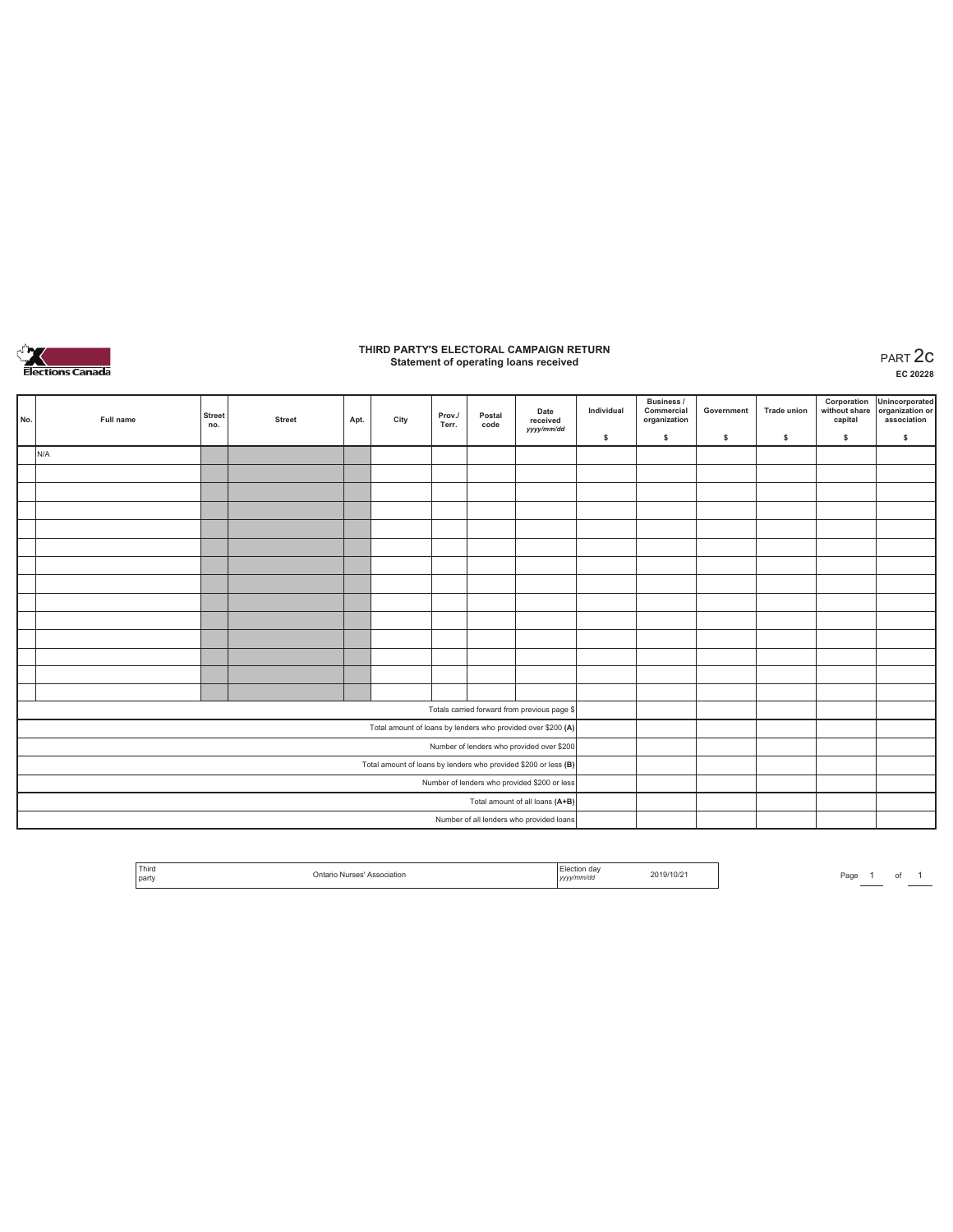

# **THIRD PARTY'S ELECTORAL CAMPAIGN RETURN Statement of operating loans received** PART 2c

**EC 20228**

| No.                                                             | Full name | <b>Street</b><br>no. | <b>Street</b> | Apt. | City | Prov./<br>Terr. | Postal<br>code | Date<br>received<br>yyyy/mm/dd               | Individual | Business /<br>Commercial<br>organization | Government | <b>Trade union</b> | capital | Corporation Unincorporated<br>without share organization or<br>association |
|-----------------------------------------------------------------|-----------|----------------------|---------------|------|------|-----------------|----------------|----------------------------------------------|------------|------------------------------------------|------------|--------------------|---------|----------------------------------------------------------------------------|
|                                                                 |           |                      |               |      |      |                 |                |                                              | \$         | \$                                       | \$         | \$                 | \$      | \$                                                                         |
|                                                                 | N/A       |                      |               |      |      |                 |                |                                              |            |                                          |            |                    |         |                                                                            |
|                                                                 |           |                      |               |      |      |                 |                |                                              |            |                                          |            |                    |         |                                                                            |
|                                                                 |           |                      |               |      |      |                 |                |                                              |            |                                          |            |                    |         |                                                                            |
|                                                                 |           |                      |               |      |      |                 |                |                                              |            |                                          |            |                    |         |                                                                            |
|                                                                 |           |                      |               |      |      |                 |                |                                              |            |                                          |            |                    |         |                                                                            |
|                                                                 |           |                      |               |      |      |                 |                |                                              |            |                                          |            |                    |         |                                                                            |
|                                                                 |           |                      |               |      |      |                 |                |                                              |            |                                          |            |                    |         |                                                                            |
|                                                                 |           |                      |               |      |      |                 |                |                                              |            |                                          |            |                    |         |                                                                            |
|                                                                 |           |                      |               |      |      |                 |                |                                              |            |                                          |            |                    |         |                                                                            |
|                                                                 |           |                      |               |      |      |                 |                |                                              |            |                                          |            |                    |         |                                                                            |
|                                                                 |           |                      |               |      |      |                 |                |                                              |            |                                          |            |                    |         |                                                                            |
|                                                                 |           |                      |               |      |      |                 |                |                                              |            |                                          |            |                    |         |                                                                            |
|                                                                 |           |                      |               |      |      |                 |                |                                              |            |                                          |            |                    |         |                                                                            |
|                                                                 |           |                      |               |      |      |                 |                |                                              |            |                                          |            |                    |         |                                                                            |
|                                                                 |           |                      |               |      |      |                 |                | Totals carried forward from previous page \$ |            |                                          |            |                    |         |                                                                            |
| Total amount of loans by lenders who provided over \$200 (A)    |           |                      |               |      |      |                 |                |                                              |            |                                          |            |                    |         |                                                                            |
| Number of lenders who provided over \$200                       |           |                      |               |      |      |                 |                |                                              |            |                                          |            |                    |         |                                                                            |
| Total amount of loans by lenders who provided \$200 or less (B) |           |                      |               |      |      |                 |                |                                              |            |                                          |            |                    |         |                                                                            |
|                                                                 |           |                      |               |      |      |                 |                | Number of lenders who provided \$200 or less |            |                                          |            |                    |         |                                                                            |
|                                                                 |           |                      |               |      |      |                 |                | Total amount of all loans (A+B)              |            |                                          |            |                    |         |                                                                            |
|                                                                 |           |                      |               |      |      |                 |                | Number of all lenders who provided loans     |            |                                          |            |                    |         |                                                                            |

Page  $1$  of  $1$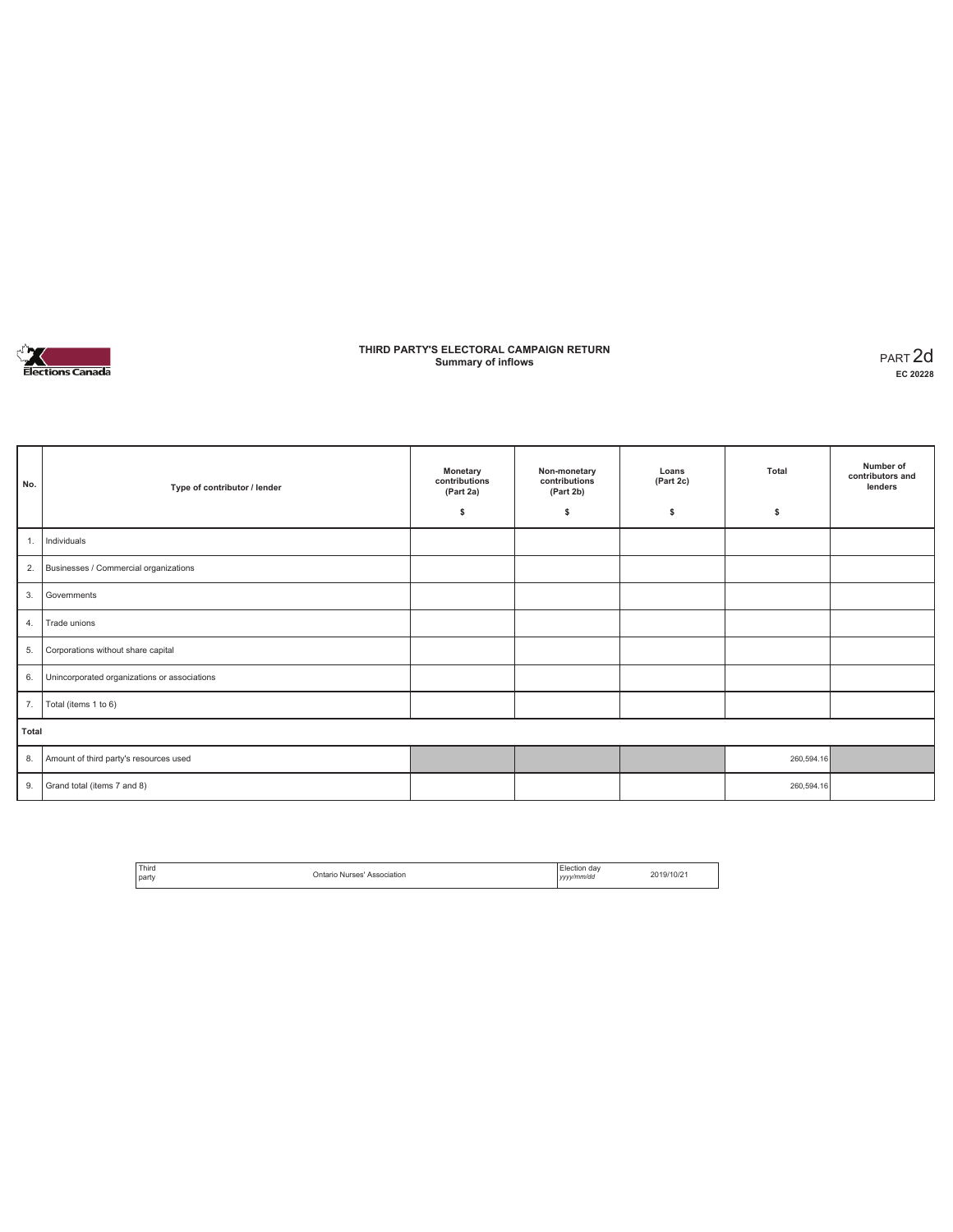

### **THIRD PARTY'S ELECTORAL CAMPAIGN RETURN Summary of inflows** PART 2d

| No.   | Type of contributor / lender                 | Monetary<br>contributions<br>(Part 2a)<br>\$ | Non-monetary<br>contributions<br>(Part 2b)<br>\$ | Loans<br>(Part 2c)<br>s | Total<br>\$ | Number of<br>contributors and<br>lenders |
|-------|----------------------------------------------|----------------------------------------------|--------------------------------------------------|-------------------------|-------------|------------------------------------------|
| 1.    | Individuals                                  |                                              |                                                  |                         |             |                                          |
| 2.    | Businesses / Commercial organizations        |                                              |                                                  |                         |             |                                          |
| 3.    | Governments                                  |                                              |                                                  |                         |             |                                          |
| 4.    | Trade unions                                 |                                              |                                                  |                         |             |                                          |
| 5.    | Corporations without share capital           |                                              |                                                  |                         |             |                                          |
| 6.    | Unincorporated organizations or associations |                                              |                                                  |                         |             |                                          |
| 7.    | Total (items 1 to 6)                         |                                              |                                                  |                         |             |                                          |
| Total |                                              |                                              |                                                  |                         |             |                                          |
| 8.    | Amount of third party's resources used       |                                              |                                                  |                         | 260,594.16  |                                          |
| 9.    | Grand total (items 7 and 8)                  |                                              |                                                  |                         | 260,594.16  |                                          |

| Third        | Ontario Nurses'<br>Association | Election dav      | 2019/10/21 |
|--------------|--------------------------------|-------------------|------------|
| <b>Darty</b> |                                | vyy/mm/dd<br>,,,, |            |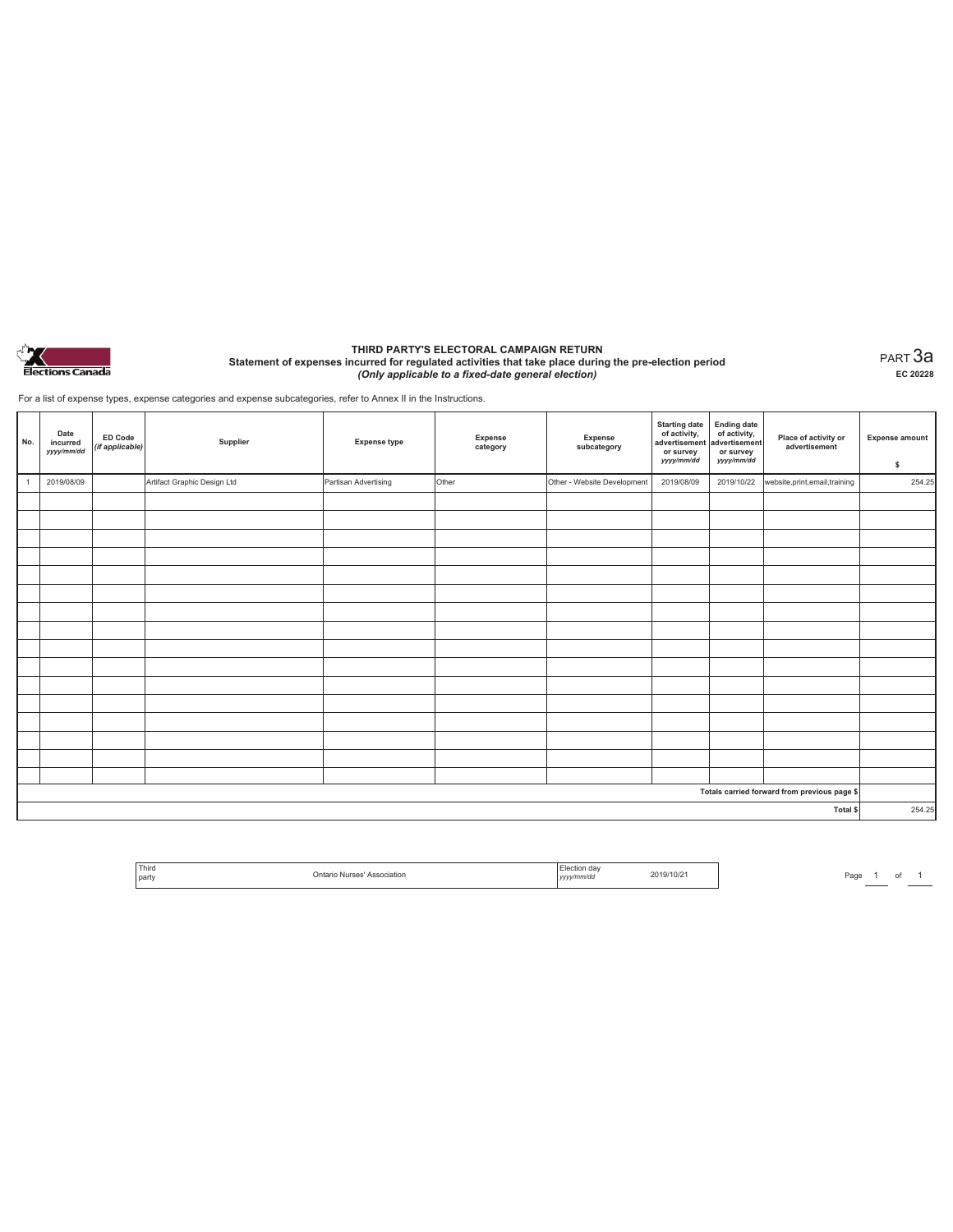

#### **THIRD PARTY'S ELECTORAL CAMPAIGN RETURN Statement of expenses incurred for regulated activities that take place during the pre-election period**  *(Only applicable to a fixed-date general election)*

PART 3a **EC 20228**

For a list of expense types, expense categories and expense subcategories, refer to Annex II in the Instructions.

| No. | Date<br>incurred<br>yyyy/mm/dd | <b>ED Code</b><br>(if applicable) | Supplier                    | <b>Expense type</b>  | Expense<br>category | Expense<br>subcategory      | <b>Starting date</b><br>of activity,<br>advertisement<br>or survey<br>yyyy/mm/dd | Ending date<br>of activity,<br>advertisement<br>or survey<br>yyyy/mm/dd | Place of activity or<br>advertisement        | <b>Expense amount</b><br>\$ |
|-----|--------------------------------|-----------------------------------|-----------------------------|----------------------|---------------------|-----------------------------|----------------------------------------------------------------------------------|-------------------------------------------------------------------------|----------------------------------------------|-----------------------------|
|     | 2019/08/09                     |                                   | Artifact Graphic Design Ltd | Partisan Advertising | Other               | Other - Website Development | 2019/08/09                                                                       | 2019/10/22                                                              | website, print, email, training              | 254.25                      |
|     |                                |                                   |                             |                      |                     |                             |                                                                                  |                                                                         |                                              |                             |
|     |                                |                                   |                             |                      |                     |                             |                                                                                  |                                                                         |                                              |                             |
|     |                                |                                   |                             |                      |                     |                             |                                                                                  |                                                                         |                                              |                             |
|     |                                |                                   |                             |                      |                     |                             |                                                                                  |                                                                         |                                              |                             |
|     |                                |                                   |                             |                      |                     |                             |                                                                                  |                                                                         |                                              |                             |
|     |                                |                                   |                             |                      |                     |                             |                                                                                  |                                                                         |                                              |                             |
|     |                                |                                   |                             |                      |                     |                             |                                                                                  |                                                                         |                                              |                             |
|     |                                |                                   |                             |                      |                     |                             |                                                                                  |                                                                         |                                              |                             |
|     |                                |                                   |                             |                      |                     |                             |                                                                                  |                                                                         |                                              |                             |
|     |                                |                                   |                             |                      |                     |                             |                                                                                  |                                                                         |                                              |                             |
|     |                                |                                   |                             |                      |                     |                             |                                                                                  |                                                                         |                                              |                             |
|     |                                |                                   |                             |                      |                     |                             |                                                                                  |                                                                         |                                              |                             |
|     |                                |                                   |                             |                      |                     |                             |                                                                                  |                                                                         |                                              |                             |
|     |                                |                                   |                             |                      |                     |                             |                                                                                  |                                                                         |                                              |                             |
|     |                                |                                   |                             |                      |                     |                             |                                                                                  |                                                                         |                                              |                             |
|     |                                |                                   |                             |                      |                     |                             |                                                                                  |                                                                         |                                              |                             |
|     |                                |                                   |                             |                      |                     |                             |                                                                                  |                                                                         | Totals carried forward from previous page \$ |                             |
|     |                                |                                   |                             |                      |                     |                             |                                                                                  |                                                                         | Total \$                                     | 254.25                      |

| Third<br>l party | 15000<br>)ntario<br>Association<br>55.5<br>. | dav<br>ww/mm/do<br>,,,, | $10\%$ |
|------------------|----------------------------------------------|-------------------------|--------|
|                  |                                              |                         |        |

Page  $\frac{1}{\phantom{1}}$  of  $\frac{1}{\phantom{1}}$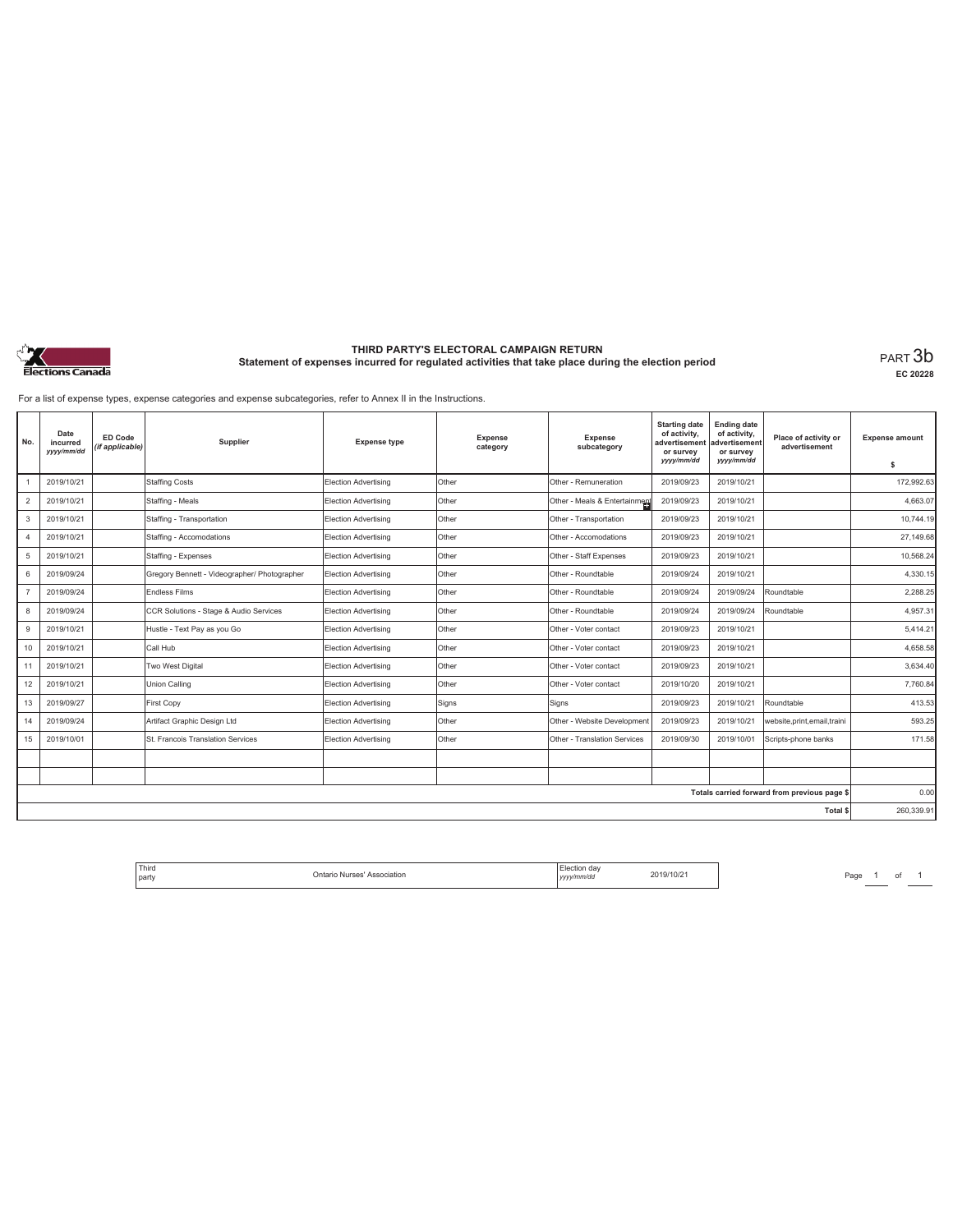

### **THIRD PARTY'S ELECTORAL CAMPAIGN RETURN Statement of expenses incurred for regulated activities that take place during the election period**<br>PART  $3b$

**EC 20228**

For a list of expense types, expense categories and expense subcategories, refer to Annex II in the Instructions.

| No.                                          | Date<br>incurred<br>yyyy/mm/dd | <b>ED Code</b><br>(if applicable) | Supplier                                     | <b>Expense type</b>         | Expense<br>category | Expense<br>subcategory        | <b>Starting date</b><br>of activity.<br>advertisemen<br>or survey<br>yyyy/mm/dd | <b>Ending date</b><br>of activity,<br>advertisement<br>or survey<br>yyyy/mm/dd | Place of activity or<br>advertisement | <b>Expense amount</b><br>s |
|----------------------------------------------|--------------------------------|-----------------------------------|----------------------------------------------|-----------------------------|---------------------|-------------------------------|---------------------------------------------------------------------------------|--------------------------------------------------------------------------------|---------------------------------------|----------------------------|
|                                              | 2019/10/21                     |                                   | <b>Staffing Costs</b>                        | Election Advertising        | Other               | Other - Remuneration          | 2019/09/23                                                                      | 2019/10/21                                                                     |                                       | 172,992.63                 |
| $\overline{c}$                               | 2019/10/21                     |                                   | Staffing - Meals                             | Election Advertising        | Other               | Other - Meals & Entertainment | 2019/09/23                                                                      | 2019/10/21                                                                     |                                       | 4,663.07                   |
| 3                                            | 2019/10/21                     |                                   | Staffing - Transportation                    | Election Advertising        | Other               | Other - Transportation        | 2019/09/23                                                                      | 2019/10/21                                                                     |                                       | 10.744.19                  |
| $\overline{4}$                               | 2019/10/21                     |                                   | Staffing - Accomodations                     | <b>Election Advertising</b> | Other               | Other - Accomodations         | 2019/09/23                                                                      | 2019/10/21                                                                     |                                       | 27,149.68                  |
| 5                                            | 2019/10/21                     |                                   | Staffing - Expenses                          | Election Advertising        | Other               | Other - Staff Expenses        | 2019/09/23                                                                      | 2019/10/21                                                                     |                                       | 10,568.24                  |
| 6                                            | 2019/09/24                     |                                   | Gregory Bennett - Videographer/ Photographer | Election Advertising        | Other               | Other - Roundtable            | 2019/09/24                                                                      | 2019/10/21                                                                     |                                       | 4,330.15                   |
| $\overline{7}$                               | 2019/09/24                     |                                   | <b>Endless Films</b>                         | <b>Election Advertising</b> | Other               | Other - Roundtable            | 2019/09/24                                                                      | 2019/09/24                                                                     | Roundtable                            | 2.288.25                   |
| 8                                            | 2019/09/24                     |                                   | CCR Solutions - Stage & Audio Services       | <b>Election Advertising</b> | Other               | Other - Roundtable            | 2019/09/24                                                                      | 2019/09/24                                                                     | Roundtable                            | 4,957.31                   |
| 9                                            | 2019/10/21                     |                                   | Hustle - Text Pay as you Go                  | Election Advertising        | Other               | Other - Voter contact         | 2019/09/23                                                                      | 2019/10/21                                                                     |                                       | 5.414.21                   |
| 10                                           | 2019/10/21                     |                                   | Call Hub                                     | Election Advertising        | Other               | Other - Voter contact         | 2019/09/23                                                                      | 2019/10/21                                                                     |                                       | 4,658.58                   |
| 11                                           | 2019/10/21                     |                                   | Two West Digital                             | Election Advertising        | Other               | Other - Voter contact         | 2019/09/23                                                                      | 2019/10/21                                                                     |                                       | 3,634.40                   |
| 12                                           | 2019/10/21                     |                                   | Union Calling                                | <b>Election Advertising</b> | Other               | Other - Voter contact         | 2019/10/20                                                                      | 2019/10/21                                                                     |                                       | 7,760.84                   |
| 13                                           | 2019/09/27                     |                                   | First Copy                                   | Election Advertising        | Signs               | Signs                         | 2019/09/23                                                                      | 2019/10/21                                                                     | Roundtable                            | 413.53                     |
| 14                                           | 2019/09/24                     |                                   | Artifact Graphic Design Ltd                  | Election Advertising        | Other               | Other - Website Development   | 2019/09/23                                                                      | 2019/10/21                                                                     | website, print, email, traini         | 593.25                     |
| 15                                           | 2019/10/01                     |                                   | St. Francois Translation Services            | <b>Election Advertising</b> | Other               | Other - Translation Services  | 2019/09/30                                                                      | 2019/10/01                                                                     | Scripts-phone banks                   | 171.58                     |
|                                              |                                |                                   |                                              |                             |                     |                               |                                                                                 |                                                                                |                                       |                            |
|                                              |                                |                                   |                                              |                             |                     |                               |                                                                                 |                                                                                |                                       |                            |
| Totals carried forward from previous page \$ |                                |                                   |                                              |                             |                     |                               |                                                                                 | 0.00                                                                           |                                       |                            |
| Total \$                                     |                                |                                   |                                              |                             |                     |                               |                                                                                 | 260,339.91                                                                     |                                       |                            |

Page <sup>1</sup> of <sup>1</sup> Third party Ontario Nurses' Association Election day *yyyy/mm/dd* 2019/10/21